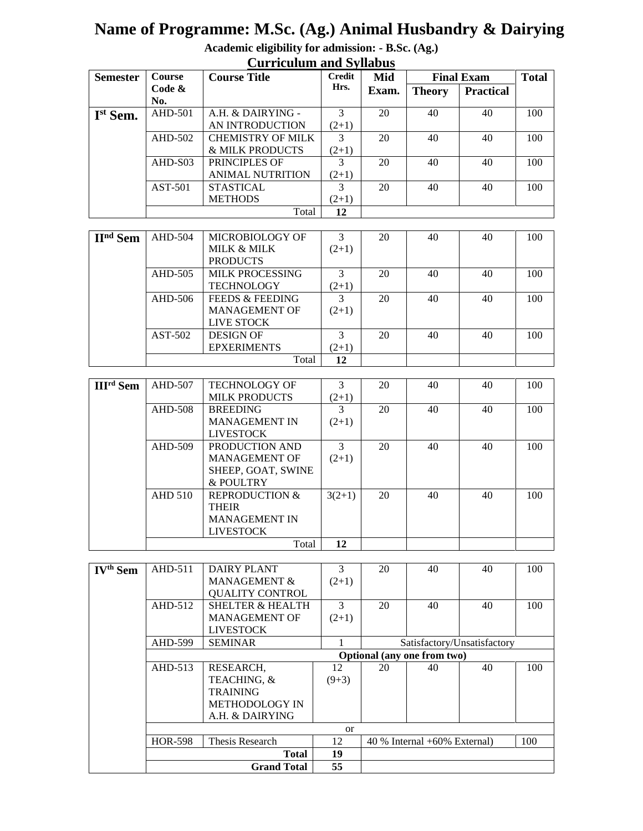# **Name of Programme: M.Sc. (Ag.) Animal Husbandry & Dairying**

**Academic eligibility for admission: - B.Sc. (Ag.) Curriculum and Syllabus**

| $\sim$ and not contain the $\sim$ , map $\sim$ |           |                          |               |       |                   |                  |              |
|------------------------------------------------|-----------|--------------------------|---------------|-------|-------------------|------------------|--------------|
| <b>Semester</b>                                | Course    | <b>Course Title</b>      | <b>Credit</b> | Mid   | <b>Final Exam</b> |                  | <b>Total</b> |
|                                                | Code $\&$ |                          | Hrs.          | Exam. | <b>Theory</b>     | <b>Practical</b> |              |
|                                                | No.       |                          |               |       |                   |                  |              |
| Ist Sem.                                       | AHD-501   | A.H. & DAIRYING -        | 3             | 20    | 40                | 40               | 100          |
|                                                |           | AN INTRODUCTION          | $(2+1)$       |       |                   |                  |              |
|                                                | AHD-502   | <b>CHEMISTRY OF MILK</b> |               | 20    | 40                | 40               | 100          |
|                                                |           | & MILK PRODUCTS          | $(2+1)$       |       |                   |                  |              |
|                                                | $AHD-S03$ | PRINCIPLES OF            | $\mathcal{R}$ | 20    | 40                | 40               | 100          |
|                                                |           | <b>ANIMAL NUTRITION</b>  | $(2+1)$       |       |                   |                  |              |
|                                                | AST-501   | <b>STASTICAL</b>         | $\mathcal{R}$ | 20    | 40                | 40               | 100          |
|                                                |           | <b>METHODS</b>           | $(2+1)$       |       |                   |                  |              |
|                                                |           | Total                    | 12            |       |                   |                  |              |

| $IInd$ Sem | AHD-504 | MICROBIOLOGY OF            | 3       | 20 | 40 | 40 | 100 |
|------------|---------|----------------------------|---------|----|----|----|-----|
|            |         | <b>MILK &amp; MILK</b>     | $(2+1)$ |    |    |    |     |
|            |         | <b>PRODUCTS</b>            |         |    |    |    |     |
|            | AHD-505 | <b>MILK PROCESSING</b>     | 3       | 20 | 40 | 40 | 100 |
|            |         | <b>TECHNOLOGY</b>          | $(2+1)$ |    |    |    |     |
|            | AHD-506 | <b>FEEDS &amp; FEEDING</b> | 3       | 20 | 40 | 40 | 100 |
|            |         | <b>MANAGEMENT OF</b>       | $(2+1)$ |    |    |    |     |
|            |         | LIVE STOCK                 |         |    |    |    |     |
|            | AST-502 | <b>DESIGN OF</b>           | 3       | 20 | 40 | 40 | 100 |
|            |         | <b>EPXERIMENTS</b>         | $(2+1)$ |    |    |    |     |
|            |         | Total                      | 12      |    |    |    |     |

| <b>III<sup>rd</sup></b> Sem | AHD-507        | <b>TECHNOLOGY OF</b>      | 3             | 20 | 40 | 40 | 100 |
|-----------------------------|----------------|---------------------------|---------------|----|----|----|-----|
|                             |                | <b>MILK PRODUCTS</b>      | $(2+1)$       |    |    |    |     |
|                             | AHD-508        | <b>BREEDING</b>           | 3             | 20 | 40 | 40 | 100 |
|                             |                | <b>MANAGEMENT IN</b>      | $(2+1)$       |    |    |    |     |
|                             |                | <b>LIVESTOCK</b>          |               |    |    |    |     |
|                             | AHD-509        | PRODUCTION AND            | $\mathcal{R}$ | 20 | 40 | 40 | 100 |
|                             |                | <b>MANAGEMENT OF</b>      | $(2+1)$       |    |    |    |     |
|                             |                | SHEEP, GOAT, SWINE        |               |    |    |    |     |
|                             |                | & POULTRY                 |               |    |    |    |     |
|                             | <b>AHD 510</b> | <b>REPRODUCTION &amp;</b> | $3(2+1)$      | 20 | 40 | 40 | 100 |
|                             |                | THEIR                     |               |    |    |    |     |
|                             |                | <b>MANAGEMENT IN</b>      |               |    |    |    |     |
|                             |                | <b>LIVESTOCK</b>          |               |    |    |    |     |
|                             |                | Total                     | 12            |    |    |    |     |

| $\mathbf{IV}^{\text{th}}$<br><b>Sem</b> | AHD-511        | <b>DAIRY PLANT</b>          | 3       | 20                              | 40 | 40 | 100 |  |  |
|-----------------------------------------|----------------|-----------------------------|---------|---------------------------------|----|----|-----|--|--|
|                                         |                | <b>MANAGEMENT &amp;</b>     | $(2+1)$ |                                 |    |    |     |  |  |
|                                         |                | <b>QUALITY CONTROL</b>      |         |                                 |    |    |     |  |  |
|                                         | $AHD-512$      | <b>SHELTER &amp; HEALTH</b> | 3       | 20                              | 40 | 40 | 100 |  |  |
|                                         |                | <b>MANAGEMENT OF</b>        | $(2+1)$ |                                 |    |    |     |  |  |
|                                         |                | <b>LIVESTOCK</b>            |         |                                 |    |    |     |  |  |
|                                         | AHD-599        | <b>SEMINAR</b>              |         | Satisfactory/Unsatisfactory     |    |    |     |  |  |
|                                         |                |                             |         | Optional (any one from two)     |    |    |     |  |  |
|                                         | $AHD-513$      | RESEARCH.                   | 12      | 20                              | 40 | 40 | 100 |  |  |
|                                         |                | TEACHING, &                 | $(9+3)$ |                                 |    |    |     |  |  |
|                                         |                | <b>TRAINING</b>             |         |                                 |    |    |     |  |  |
|                                         |                | <b>METHODOLOGY IN</b>       |         |                                 |    |    |     |  |  |
|                                         |                | A.H. & DAIRYING             |         |                                 |    |    |     |  |  |
|                                         | <sub>or</sub>  |                             |         |                                 |    |    |     |  |  |
|                                         | <b>HOR-598</b> | Thesis Research             | 12      | 40 % Internal $+60\%$ External) |    |    | 100 |  |  |
|                                         |                | <b>Total</b>                | 19      |                                 |    |    |     |  |  |
|                                         |                | <b>Grand Total</b>          | 55      |                                 |    |    |     |  |  |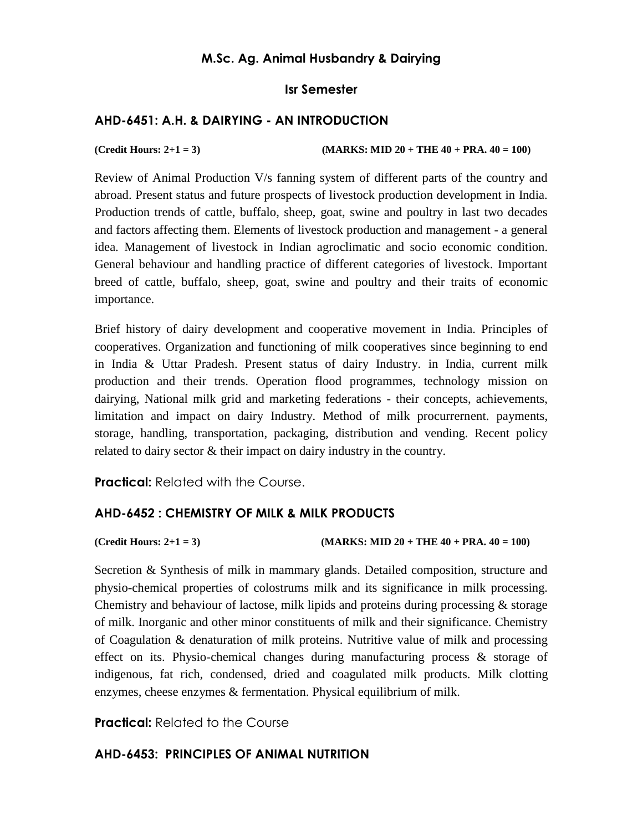## **M.Sc. Ag. Animal Husbandry & Dairying**

## **Isr Semester**

## **AHD-6451: A.H. & DAIRYING - AN INTRODUCTION**

**(Credit Hours: 2+1 = 3) (MARKS: MID 20 + THE 40 + PRA. 40 = 100)** 

Review of Animal Production V/s fanning system of different parts of the country and abroad. Present status and future prospects of livestock production development in India. Production trends of cattle, buffalo, sheep, goat, swine and poultry in last two decades and factors affecting them. Elements of livestock production and management - a general idea. Management of livestock in Indian agroclimatic and socio economic condition. General behaviour and handling practice of different categories of livestock. Important breed of cattle, buffalo, sheep, goat, swine and poultry and their traits of economic importance.

Brief history of dairy development and cooperative movement in India. Principles of cooperatives. Organization and functioning of milk cooperatives since beginning to end in India & Uttar Pradesh. Present status of dairy Industry. in India, current milk production and their trends. Operation flood programmes, technology mission on dairying, National milk grid and marketing federations - their concepts, achievements, limitation and impact on dairy Industry. Method of milk procurrernent. payments, storage, handling, transportation, packaging, distribution and vending. Recent policy related to dairy sector & their impact on dairy industry in the country.

**Practical:** Related with the Course.

## **AHD-6452 : CHEMISTRY OF MILK & MILK PRODUCTS**

**(Credit Hours: 2+1 = 3) (MARKS: MID 20 + THE 40 + PRA. 40 = 100)** 

Secretion & Synthesis of milk in mammary glands. Detailed composition, structure and physio-chemical properties of colostrums milk and its significance in milk processing. Chemistry and behaviour of lactose, milk lipids and proteins during processing & storage of milk. Inorganic and other minor constituents of milk and their significance. Chemistry of Coagulation & denaturation of milk proteins. Nutritive value of milk and processing effect on its. Physio-chemical changes during manufacturing process & storage of indigenous, fat rich, condensed, dried and coagulated milk products. Milk clotting enzymes, cheese enzymes & fermentation. Physical equilibrium of milk.

**Practical:** Related to the Course

## **AHD-6453: PRINCIPLES OF ANIMAL NUTRITION**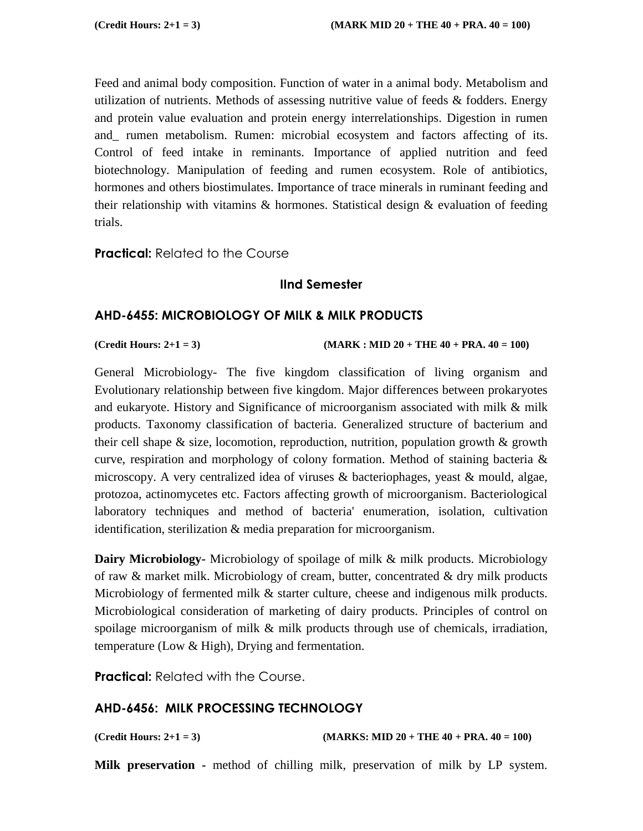Feed and animal body composition. Function of water in a animal body. Metabolism and utilization of nutrients. Methods of assessing nutritive value of feeds & fodders. Energy and protein value evaluation and protein energy interrelationships. Digestion in rumen and\_ rumen metabolism. Rumen: microbial ecosystem and factors affecting of its. Control of feed intake in reminants. Importance of applied nutrition and feed biotechnology. Manipulation of feeding and rumen ecosystem. Role of antibiotics, hormones and others biostimulates. Importance of trace minerals in ruminant feeding and their relationship with vitamins  $\&$  hormones. Statistical design  $\&$  evaluation of feeding trials.

**Practical:** Related to the Course

## **IInd Semester**

## **AHD-6455: MICROBIOLOGY OF MILK & MILK PRODUCTS**

**(Credit Hours: 2+1 = 3) (MARK : MID 20 + THE 40 + PRA. 40 = 100)** 

General Microbiology- The five kingdom classification of living organism and Evolutionary relationship between five kingdom. Major differences between prokaryotes and eukaryote. History and Significance of microorganism associated with milk & milk products. Taxonomy classification of bacteria. Generalized structure of bacterium and their cell shape  $\&$  size, locomotion, reproduction, nutrition, population growth  $\&$  growth curve, respiration and morphology of colony formation. Method of staining bacteria  $\&$ microscopy. A very centralized idea of viruses & bacteriophages, yeast & mould, algae, protozoa, actinomycetes etc. Factors affecting growth of microorganism. Bacteriological laboratory techniques and method of bacteria' enumeration, isolation, cultivation identification, sterilization & media preparation for microorganism.

**Dairy Microbiology-** Microbiology of spoilage of milk & milk products. Microbiology of raw & market milk. Microbiology of cream, butter, concentrated & dry milk products Microbiology of fermented milk & starter culture, cheese and indigenous milk products. Microbiological consideration of marketing of dairy products. Principles of control on spoilage microorganism of milk & milk products through use of chemicals, irradiation, temperature (Low & High), Drying and fermentation.

**Practical:** Related with the Course.

## **AHD-6456: MILK PROCESSING TECHNOLOGY**

**(Credit Hours: 2+1 = 3) (MARKS: MID 20 + THE 40 + PRA. 40 = 100)** 

**Milk preservation -** method of chilling milk, preservation of milk by LP system.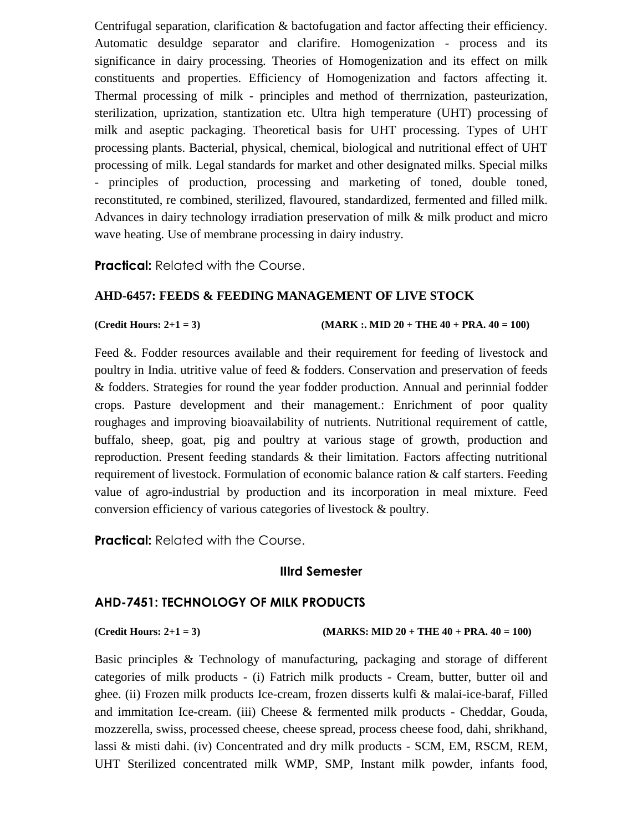Centrifugal separation, clarification & bactofugation and factor affecting their efficiency. Automatic desuldge separator and clarifire. Homogenization - process and its significance in dairy processing. Theories of Homogenization and its effect on milk constituents and properties. Efficiency of Homogenization and factors affecting it. Thermal processing of milk - principles and method of therrnization, pasteurization, sterilization, uprization, stantization etc. Ultra high temperature (UHT) processing of milk and aseptic packaging. Theoretical basis for UHT processing. Types of UHT processing plants. Bacterial, physical, chemical, biological and nutritional effect of UHT processing of milk. Legal standards for market and other designated milks. Special milks - principles of production, processing and marketing of toned, double toned, reconstituted, re combined, sterilized, flavoured, standardized, fermented and filled milk. Advances in dairy technology irradiation preservation of milk & milk product and micro wave heating. Use of membrane processing in dairy industry.

**Practical:** Related with the Course.

### **AHD-6457: FEEDS & FEEDING MANAGEMENT OF LIVE STOCK**

**(Credit Hours: 2+1 = 3) (MARK :. MID 20 + THE 40 + PRA. 40 = 100)** 

Feed &. Fodder resources available and their requirement for feeding of livestock and poultry in India. utritive value of feed & fodders. Conservation and preservation of feeds & fodders. Strategies for round the year fodder production. Annual and perinnial fodder crops. Pasture development and their management.: Enrichment of poor quality roughages and improving bioavailability of nutrients. Nutritional requirement of cattle, buffalo, sheep, goat, pig and poultry at various stage of growth, production and reproduction. Present feeding standards & their limitation. Factors affecting nutritional requirement of livestock. Formulation of economic balance ration & calf starters. Feeding value of agro-industrial by production and its incorporation in meal mixture. Feed conversion efficiency of various categories of livestock & poultry.

**Practical:** Related with the Course.

## **IIIrd Semester**

## **AHD-7451: TECHNOLOGY OF MILK PRODUCTS**

**(Credit Hours: 2+1 = 3) (MARKS: MID 20 + THE 40 + PRA. 40 = 100)** 

Basic principles & Technology of manufacturing, packaging and storage of different categories of milk products - (i) Fatrich milk products - Cream, butter, butter oil and ghee. (ii) Frozen milk products Ice-cream, frozen disserts kulfi & malai-ice-baraf, Filled and immitation Ice-cream. (iii) Cheese & fermented milk products - Cheddar, Gouda, mozzerella, swiss, processed cheese, cheese spread, process cheese food, dahi, shrikhand, lassi & misti dahi. (iv) Concentrated and dry milk products - SCM, EM, RSCM, REM, UHT Sterilized concentrated milk WMP, SMP, Instant milk powder, infants food,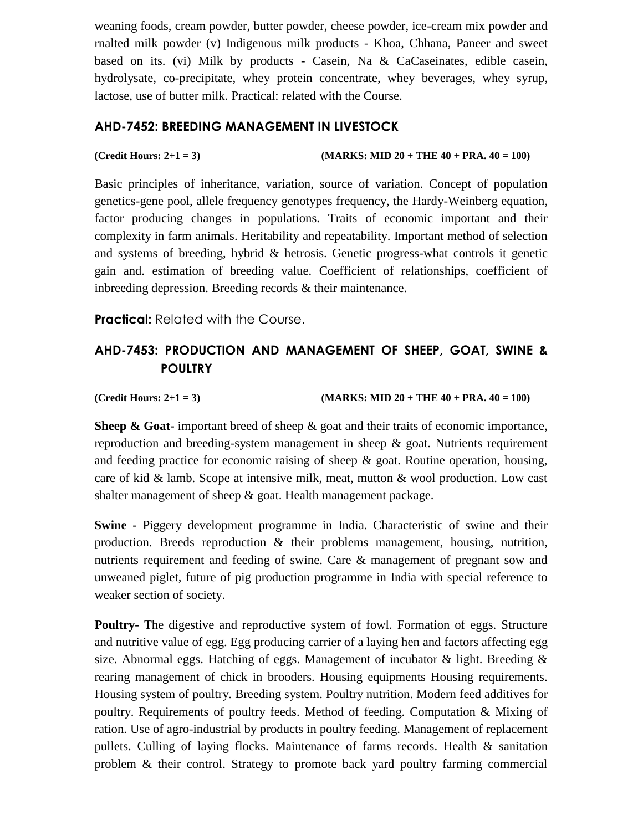weaning foods, cream powder, butter powder, cheese powder, ice-cream mix powder and rnalted milk powder (v) Indigenous milk products - Khoa, Chhana, Paneer and sweet based on its. (vi) Milk by products - Casein, Na & CaCaseinates, edible casein, hydrolysate, co-precipitate, whey protein concentrate, whey beverages, whey syrup, lactose, use of butter milk. Practical: related with the Course.

## **AHD-7452: BREEDING MANAGEMENT IN LIVESTOCK**

**(Credit Hours: 2+1 = 3) (MARKS: MID 20 + THE 40 + PRA. 40 = 100)** 

Basic principles of inheritance, variation, source of variation. Concept of population genetics-gene pool, allele frequency genotypes frequency, the Hardy-Weinberg equation, factor producing changes in populations. Traits of economic important and their complexity in farm animals. Heritability and repeatability. Important method of selection and systems of breeding, hybrid & hetrosis. Genetic progress-what controls it genetic gain and. estimation of breeding value. Coefficient of relationships, coefficient of inbreeding depression. Breeding records & their maintenance.

**Practical:** Related with the Course.

## **AHD-7453: PRODUCTION AND MANAGEMENT OF SHEEP, GOAT, SWINE & POULTRY**

**(Credit Hours: 2+1 = 3) (MARKS: MID 20 + THE 40 + PRA. 40 = 100)** 

**Sheep & Goat-** important breed of sheep & goat and their traits of economic importance, reproduction and breeding-system management in sheep & goat. Nutrients requirement and feeding practice for economic raising of sheep & goat. Routine operation, housing, care of kid & lamb. Scope at intensive milk, meat, mutton & wool production. Low cast shalter management of sheep & goat. Health management package.

**Swine -** Piggery development programme in India. Characteristic of swine and their production. Breeds reproduction & their problems management, housing, nutrition, nutrients requirement and feeding of swine. Care & management of pregnant sow and unweaned piglet, future of pig production programme in India with special reference to weaker section of society.

**Poultry-** The digestive and reproductive system of fowl. Formation of eggs. Structure and nutritive value of egg. Egg producing carrier of a laying hen and factors affecting egg size. Abnormal eggs. Hatching of eggs. Management of incubator  $\&$  light. Breeding  $\&$ rearing management of chick in brooders. Housing equipments Housing requirements. Housing system of poultry. Breeding system. Poultry nutrition. Modern feed additives for poultry. Requirements of poultry feeds. Method of feeding. Computation & Mixing of ration. Use of agro-industrial by products in poultry feeding. Management of replacement pullets. Culling of laying flocks. Maintenance of farms records. Health & sanitation problem & their control. Strategy to promote back yard poultry farming commercial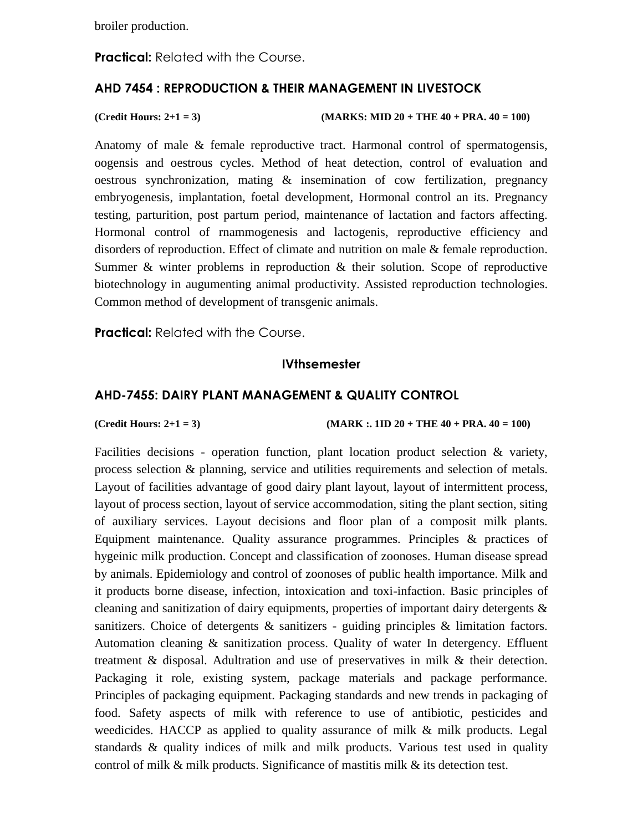broiler production.

**Practical:** Related with the Course.

## **AHD 7454 : REPRODUCTION & THEIR MANAGEMENT IN LIVESTOCK**

**(Credit Hours: 2+1 = 3) (MARKS: MID 20 + THE 40 + PRA. 40 = 100)** 

Anatomy of male & female reproductive tract. Harmonal control of spermatogensis, oogensis and oestrous cycles. Method of heat detection, control of evaluation and oestrous synchronization, mating & insemination of cow fertilization, pregnancy embryogenesis, implantation, foetal development, Hormonal control an its. Pregnancy testing, parturition, post partum period, maintenance of lactation and factors affecting. Hormonal control of rnammogenesis and lactogenis, reproductive efficiency and disorders of reproduction. Effect of climate and nutrition on male & female reproduction. Summer & winter problems in reproduction & their solution. Scope of reproductive biotechnology in augumenting animal productivity. Assisted reproduction technologies. Common method of development of transgenic animals.

**Practical:** Related with the Course.

## **IVthsemester**

## **AHD-7455: DAIRY PLANT MANAGEMENT & QUALITY CONTROL**

**(Credit Hours: 2+1 = 3) (MARK :. 1ID 20 + THE 40 + PRA. 40 = 100)** 

Facilities decisions - operation function, plant location product selection & variety, process selection & planning, service and utilities requirements and selection of metals. Layout of facilities advantage of good dairy plant layout, layout of intermittent process, layout of process section, layout of service accommodation, siting the plant section, siting of auxiliary services. Layout decisions and floor plan of a composit milk plants. Equipment maintenance. Quality assurance programmes. Principles & practices of hygeinic milk production. Concept and classification of zoonoses. Human disease spread by animals. Epidemiology and control of zoonoses of public health importance. Milk and it products borne disease, infection, intoxication and toxi-infaction. Basic principles of cleaning and sanitization of dairy equipments, properties of important dairy detergents & sanitizers. Choice of detergents & sanitizers - guiding principles & limitation factors. Automation cleaning & sanitization process. Quality of water In detergency. Effluent treatment & disposal. Adultration and use of preservatives in milk & their detection. Packaging it role, existing system, package materials and package performance. Principles of packaging equipment. Packaging standards and new trends in packaging of food. Safety aspects of milk with reference to use of antibiotic, pesticides and weedicides. HACCP as applied to quality assurance of milk  $\&$  milk products. Legal standards & quality indices of milk and milk products. Various test used in quality control of milk & milk products. Significance of mastitis milk & its detection test.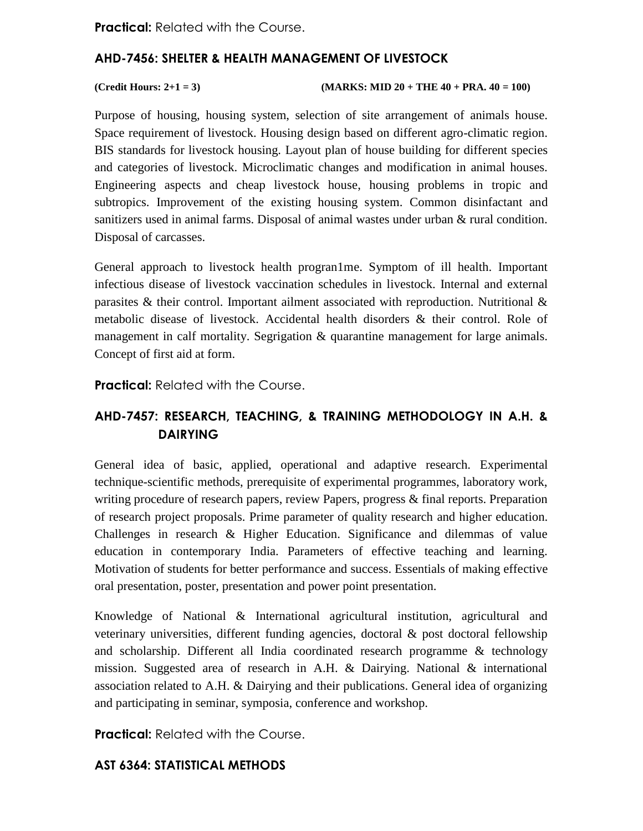**Practical: Related with the Course.** 

## **AHD-7456: SHELTER & HEALTH MANAGEMENT OF LIVESTOCK**

### **(Credit Hours: 2+1 = 3) (MARKS: MID 20 + THE 40 + PRA. 40 = 100)**

Purpose of housing, housing system, selection of site arrangement of animals house. Space requirement of livestock. Housing design based on different agro-climatic region. BIS standards for livestock housing. Layout plan of house building for different species and categories of livestock. Microclimatic changes and modification in animal houses. Engineering aspects and cheap livestock house, housing problems in tropic and subtropics. Improvement of the existing housing system. Common disinfactant and sanitizers used in animal farms. Disposal of animal wastes under urban & rural condition. Disposal of carcasses.

General approach to livestock health progran1me. Symptom of ill health. Important infectious disease of livestock vaccination schedules in livestock. Internal and external parasites & their control. Important ailment associated with reproduction. Nutritional & metabolic disease of livestock. Accidental health disorders & their control. Role of management in calf mortality. Segrigation & quarantine management for large animals. Concept of first aid at form.

**Practical:** Related with the Course.

## **AHD-7457: RESEARCH, TEACHING, & TRAINING METHODOLOGY IN A.H. & DAIRYING**

General idea of basic, applied, operational and adaptive research. Experimental technique-scientific methods, prerequisite of experimental programmes, laboratory work, writing procedure of research papers, review Papers, progress & final reports. Preparation of research project proposals. Prime parameter of quality research and higher education. Challenges in research & Higher Education. Significance and dilemmas of value education in contemporary India. Parameters of effective teaching and learning. Motivation of students for better performance and success. Essentials of making effective oral presentation, poster, presentation and power point presentation.

Knowledge of National & International agricultural institution, agricultural and veterinary universities, different funding agencies, doctoral  $\&$  post doctoral fellowship and scholarship. Different all India coordinated research programme & technology mission. Suggested area of research in A.H. & Dairying. National & international association related to A.H. & Dairying and their publications. General idea of organizing and participating in seminar, symposia, conference and workshop.

**Practical:** Related with the Course.

## **AST 6364: STATISTICAL METHODS**